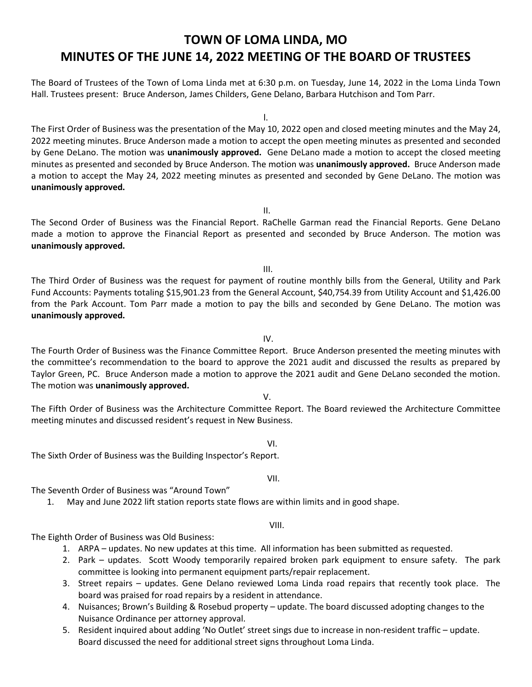## **TOWN OF LOMA LINDA, MO MINUTES OF THE JUNE 14, 2022 MEETING OF THE BOARD OF TRUSTEES**

The Board of Trustees of the Town of Loma Linda met at 6:30 p.m. on Tuesday, June 14, 2022 in the Loma Linda Town Hall. Trustees present: Bruce Anderson, James Childers, Gene Delano, Barbara Hutchison and Tom Parr.

l.

The First Order of Business was the presentation of the May 10, 2022 open and closed meeting minutes and the May 24, 2022 meeting minutes. Bruce Anderson made a motion to accept the open meeting minutes as presented and seconded by Gene DeLano. The motion was **unanimously approved.** Gene DeLano made a motion to accept the closed meeting minutes as presented and seconded by Bruce Anderson. The motion was **unanimously approved.** Bruce Anderson made a motion to accept the May 24, 2022 meeting minutes as presented and seconded by Gene DeLano. The motion was **unanimously approved.** 

II.

The Second Order of Business was the Financial Report. RaChelle Garman read the Financial Reports. Gene DeLano made a motion to approve the Financial Report as presented and seconded by Bruce Anderson. The motion was **unanimously approved.** 

III.

The Third Order of Business was the request for payment of routine monthly bills from the General, Utility and Park Fund Accounts: Payments totaling \$15,901.23 from the General Account, \$40,754.39 from Utility Account and \$1,426.00 from the Park Account. Tom Parr made a motion to pay the bills and seconded by Gene DeLano. The motion was **unanimously approved.** 

IV.

The Fourth Order of Business was the Finance Committee Report. Bruce Anderson presented the meeting minutes with the committee's recommendation to the board to approve the 2021 audit and discussed the results as prepared by Taylor Green, PC. Bruce Anderson made a motion to approve the 2021 audit and Gene DeLano seconded the motion. The motion was **unanimously approved.**

## V.

The Fifth Order of Business was the Architecture Committee Report. The Board reviewed the Architecture Committee meeting minutes and discussed resident's request in New Business.

## VI.

The Sixth Order of Business was the Building Inspector's Report.

## VII.

The Seventh Order of Business was "Around Town"

1. May and June 2022 lift station reports state flows are within limits and in good shape.

VIII.

The Eighth Order of Business was Old Business:

- 1. ARPA updates. No new updates at this time. All information has been submitted as requested.
- 2. Park updates. Scott Woody temporarily repaired broken park equipment to ensure safety. The park committee is looking into permanent equipment parts/repair replacement.
- 3. Street repairs updates. Gene Delano reviewed Loma Linda road repairs that recently took place. The board was praised for road repairs by a resident in attendance.
- 4. Nuisances; Brown's Building & Rosebud property update. The board discussed adopting changes to the Nuisance Ordinance per attorney approval.
- 5. Resident inquired about adding 'No Outlet' street sings due to increase in non-resident traffic update. Board discussed the need for additional street signs throughout Loma Linda.